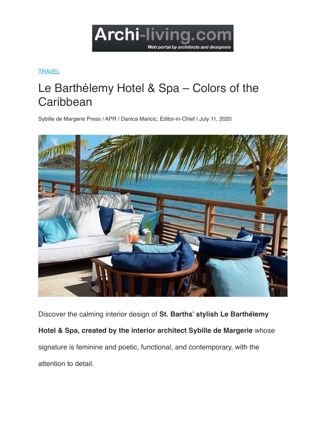

## **[TRAVEL](https://www.archi-living.com/travel)**

## Le Barthélemy Hotel & Spa – Colors of the **Caribbean**

Sybille de Margerie Press / APR / Danica Maricic, Editor-in-Chief | July 11, 2020



Discover the calming interior design of **St. Barths' stylish Le Barthélemy Hotel & Spa, created by the interior architect Sybille de Margerie** whose signature is feminine and poetic, functional, and contemporary, with the attention to detail.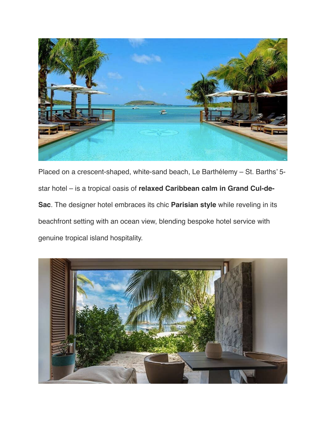

Placed on a crescent-shaped, white-sand beach, Le Barthélemy – St. Barths' 5 star hotel – is a tropical oasis of **relaxed Caribbean calm in Grand Cul-de-Sac**. The designer hotel embraces its chic **Parisian style** while reveling in its beachfront setting with an ocean view, blending bespoke hotel service with genuine tropical island hospitality.

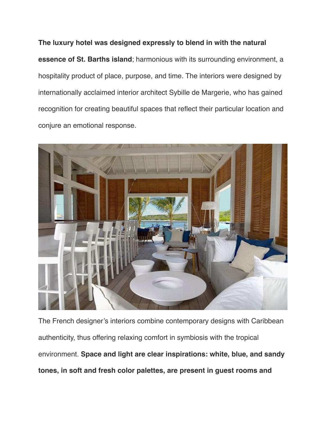**The luxury hotel was designed expressly to blend in with the natural essence of St. Barths island**; harmonious with its surrounding environment, a hospitality product of place, purpose, and time. The interiors were designed by internationally acclaimed interior architect Sybille de Margerie, who has gained recognition for creating beautiful spaces that reflect their particular location and conjure an emotional response.



The French designer's interiors combine contemporary designs with Caribbean authenticity, thus offering relaxing comfort in symbiosis with the tropical environment. **Space and light are clear inspirations: white, blue, and sandy tones, in soft and fresh color palettes, are present in guest rooms and**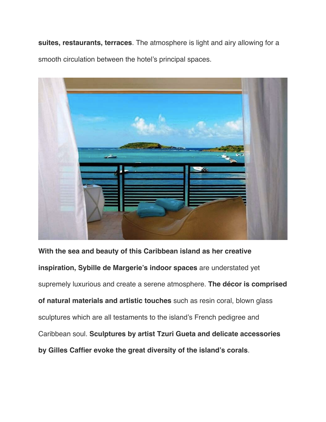**suites, restaurants, terraces**. The atmosphere is light and airy allowing for a smooth circulation between the hotel's principal spaces.



**With the sea and beauty of this Caribbean island as her creative inspiration, Sybille de Margerie's indoor spaces** are understated yet supremely luxurious and create a serene atmosphere. **The décor is comprised of natural materials and artistic touches** such as resin coral, blown glass sculptures which are all testaments to the island's French pedigree and Caribbean soul. **Sculptures by artist Tzuri Gueta and delicate accessories by Gilles Caffier evoke the great diversity of the island's corals**.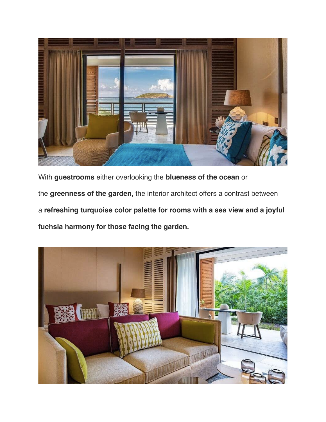

With **guestrooms** either overlooking the **blueness of the ocean** or the **greenness of the garden**, the interior architect offers a contrast between a **refreshing turquoise color palette for rooms with a sea view and a joyful fuchsia harmony for those facing the garden.**

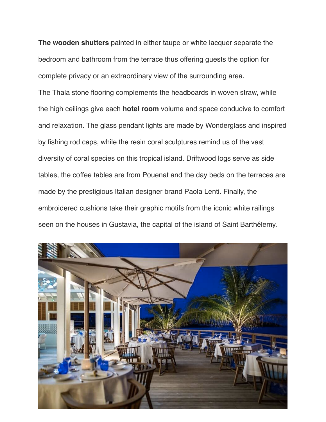**The wooden shutters** painted in either taupe or white lacquer separate the bedroom and bathroom from the terrace thus offering guests the option for complete privacy or an extraordinary view of the surrounding area.

The Thala stone flooring complements the headboards in woven straw, while the high ceilings give each **hotel room** volume and space conducive to comfort and relaxation. The glass pendant lights are made by Wonderglass and inspired by fishing rod caps, while the resin coral sculptures remind us of the vast diversity of coral species on this tropical island. Driftwood logs serve as side tables, the coffee tables are from Pouenat and the day beds on the terraces are made by the prestigious Italian designer brand Paola Lenti. Finally, the embroidered cushions take their graphic motifs from the iconic white railings seen on the houses in Gustavia, the capital of the island of Saint Barthélemy.

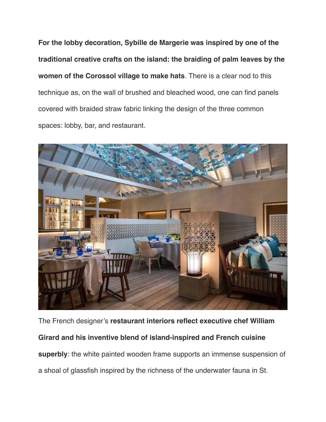**For the lobby decoration, Sybille de Margerie was inspired by one of the traditional creative crafts on the island: the braiding of palm leaves by the women of the Corossol village to make hats**. There is a clear nod to this technique as, on the wall of brushed and bleached wood, one can find panels covered with braided straw fabric linking the design of the three common spaces: lobby, bar, and restaurant.



The French designer's **restaurant interiors reflect executive chef William Girard and his inventive blend of island-inspired and French cuisine superbly**: the white painted wooden frame supports an immense suspension of a shoal of glassfish inspired by the richness of the underwater fauna in St.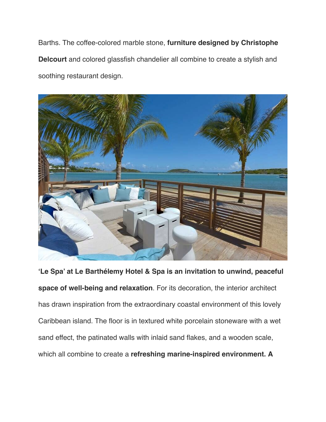Barths. The coffee-colored marble stone, **furniture designed by Christophe Delcourt** and colored glassfish chandelier all combine to create a stylish and soothing restaurant design.



**'Le Spa' at Le Barthélemy Hotel & Spa is an invitation to unwind, peaceful space of well-being and relaxation**. For its decoration, the interior architect has drawn inspiration from the extraordinary coastal environment of this lovely Caribbean island. The floor is in textured white porcelain stoneware with a wet sand effect, the patinated walls with inlaid sand flakes, and a wooden scale, which all combine to create a **refreshing marine-inspired environment. A**